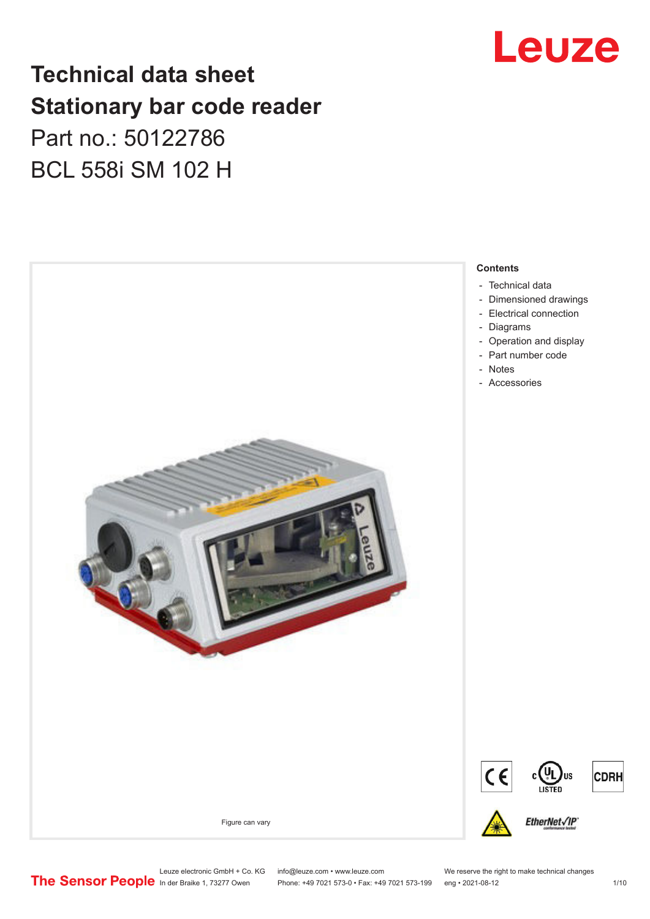

## **Technical data sheet Stationary bar code reader** Part no.: 50122786

BCL 558i SM 102 H



Leuze electronic GmbH + Co. KG info@leuze.com • www.leuze.com We reserve the right to make technical changes<br>
The Sensor People in der Braike 1, 73277 Owen Phone: +49 7021 573-0 • Fax: +49 7021 573-199 eng • 2021-08-12

Phone: +49 7021 573-0 • Fax: +49 7021 573-199 eng • 2021-08-12 1 /10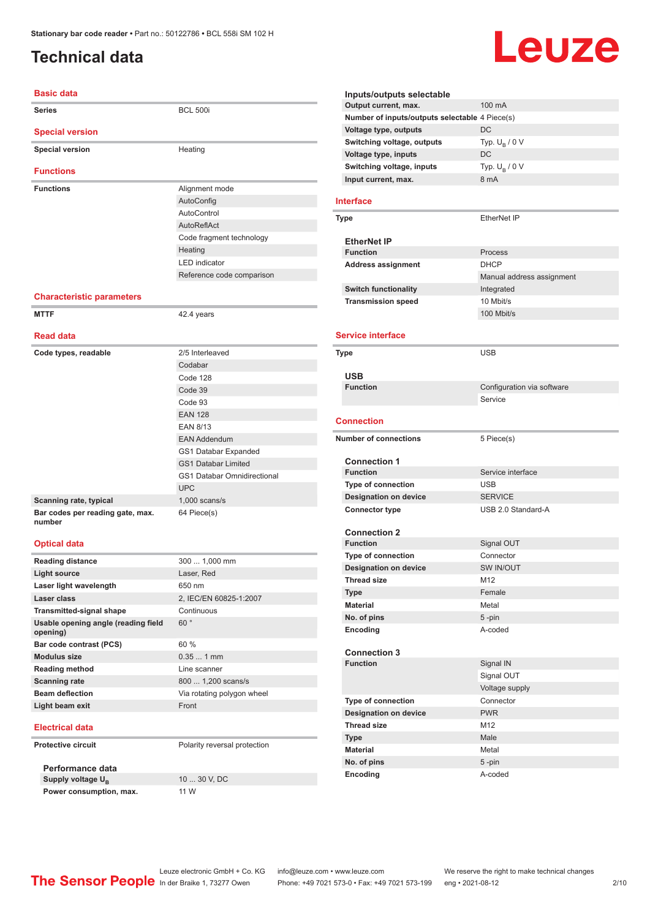## <span id="page-1-0"></span>**Technical data**

# Leuze

| <b>Basic data</b>                               |                                    |
|-------------------------------------------------|------------------------------------|
| <b>Series</b>                                   | <b>BCL 500i</b>                    |
| <b>Special version</b>                          |                                    |
| <b>Special version</b>                          | Heating                            |
|                                                 |                                    |
| <b>Functions</b>                                |                                    |
| <b>Functions</b>                                | Alignment mode                     |
|                                                 | AutoConfig                         |
|                                                 | AutoControl                        |
|                                                 | AutoReflAct                        |
|                                                 | Code fragment technology           |
|                                                 | Heating                            |
|                                                 | <b>LED</b> indicator               |
|                                                 | Reference code comparison          |
| <b>Characteristic parameters</b>                |                                    |
| <b>MTTF</b>                                     | 42.4 years                         |
| <b>Read data</b>                                |                                    |
|                                                 | 2/5 Interleaved                    |
| Code types, readable                            | Codabar                            |
|                                                 | Code 128                           |
|                                                 | Code 39                            |
|                                                 | Code 93                            |
|                                                 | <b>EAN 128</b>                     |
|                                                 | <b>EAN 8/13</b>                    |
|                                                 | <b>EAN Addendum</b>                |
|                                                 | GS1 Databar Expanded               |
|                                                 | <b>GS1 Databar Limited</b>         |
|                                                 | <b>GS1 Databar Omnidirectional</b> |
|                                                 | <b>UPC</b>                         |
| Scanning rate, typical                          | $1,000$ scans/s                    |
| Bar codes per reading gate, max.<br>number      | 64 Piece(s)                        |
| <b>Optical data</b>                             |                                    |
| <b>Reading distance</b>                         | 300  1,000 mm                      |
| Light source                                    | Laser, Red                         |
| Laser light wavelength                          | 650 nm                             |
| Laser class                                     | 2, IEC/EN 60825-1:2007             |
| <b>Transmitted-signal shape</b>                 | Continuous                         |
| Usable opening angle (reading field<br>opening) | 60°                                |
| Bar code contrast (PCS)                         | 60 %                               |
| <b>Modulus size</b>                             | $0.351$ mm                         |
| <b>Reading method</b>                           | Line scanner                       |
| <b>Scanning rate</b>                            | 800  1,200 scans/s                 |
| <b>Beam deflection</b>                          | Via rotating polygon wheel         |
| Light beam exit                                 | Front                              |
| <b>Electrical data</b>                          |                                    |
| <b>Protective circuit</b>                       | Polarity reversal protection       |
| Performance data                                |                                    |
| Supply voltage U <sub>R</sub>                   | 10  30 V, DC                       |

**Power consumption, max.** 11 W

**Output current, max.** 100 mA **Number of inputs/outputs selectable** 4 Piece(s) **Voltage type, outputs** DC **Switching voltage, outputs** Typ.<br>Voltage type, inputs DC Typ.  $U_R / 0 V$ **Voltage type, inputs Switching voltage, inputs** Typ. Unit Current. max. 6 mA Typ.  $U_B / 0 V$ **Input current, max. Interface Type** EtherNet IP **EtherNet IP Function** Process **Address assignment** DHCP Manual address assignment **Switch functionality Integrated Transmission speed** 10 Mbit/s 100 Mbit/s **Service interface Type** USB **USB Configuration** via software Service **Connection Number of connections** 5 Piece(s) **Connection 1 Service interface Type of connection** USB **Designation on device** SERVICE **Connector type** USB 2.0 Standard-A **Connection 2 Signal OUT Type of connection** Connector **Designation on device** SW IN/OUT **Thread size** M12 **Type** Female **Material** Metal **No. of pins** 5 -pin **Encoding** A-coded **Connection 3 Signal IN** Signal OUT Voltage supply **Type of connection** Connector **Designation on device** PWR **Thread size M12 Type Male Material** Metal

**Inputs/outputs selectable**

**No. of pins** 5 -pin **Encoding** A-coded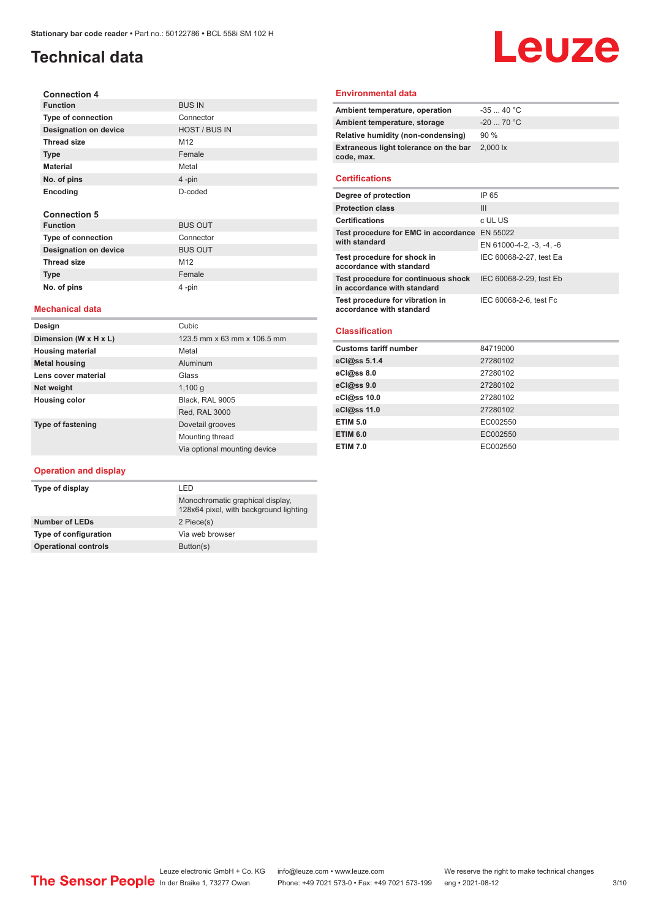## **Technical data**

#### **Connection 4 Function** BUS IN **Type of connection** Connector **Designation on device** HOST / BUS IN **Thread size** M12 **Type** Female **Material** Metal **No. of pins** 4 -pin **Encoding** D-coded **Connection 5 Function** BUS OUT **Type of connection**<br> **Designation on device**<br>
BUS OUT **Designation on device** Thread size M12

#### **Mechanical data**

**Type Female No. of pins** 4 -pin

| Design                   | Cubic                        |
|--------------------------|------------------------------|
| Dimension (W x H x L)    | 123.5 mm x 63 mm x 106.5 mm  |
| <b>Housing material</b>  | Metal                        |
| <b>Metal housing</b>     | Aluminum                     |
| Lens cover material      | Glass                        |
| Net weight               | 1,100q                       |
| <b>Housing color</b>     | Black. RAL 9005              |
|                          | Red, RAL 3000                |
| <b>Type of fastening</b> | Dovetail grooves             |
|                          | Mounting thread              |
|                          | Via optional mounting device |

#### **Operation and display**

| I FD                                                                       |
|----------------------------------------------------------------------------|
| Monochromatic graphical display.<br>128x64 pixel, with background lighting |
| 2 Piece(s)                                                                 |
| Via web browser                                                            |
| Button(s)                                                                  |
|                                                                            |

#### **Environmental data**

| Ambient temperature, operation                      | $-3540 °C$         |
|-----------------------------------------------------|--------------------|
| Ambient temperature, storage                        | $-20$ 70 °C        |
| Relative humidity (non-condensing)                  | 90%                |
| Extraneous light tolerance on the bar<br>code, max. | $2.000 \text{ lx}$ |
|                                                     |                    |

Leuze

#### **Certifications**

| Degree of protection                                               | IP 65                    |
|--------------------------------------------------------------------|--------------------------|
| <b>Protection class</b>                                            | Ш                        |
| <b>Certifications</b>                                              | c UL US                  |
| Test procedure for EMC in accordance EN 55022                      |                          |
| with standard                                                      | EN 61000-4-2, -3, -4, -6 |
| Test procedure for shock in<br>accordance with standard            | IEC 60068-2-27, test Ea  |
| Test procedure for continuous shock<br>in accordance with standard | IEC 60068-2-29, test Eb  |
| Test procedure for vibration in<br>accordance with standard        | IEC 60068-2-6, test Fc   |

#### **Classification**

| 84719000 |
|----------|
| 27280102 |
| 27280102 |
| 27280102 |
| 27280102 |
| 27280102 |
| EC002550 |
| EC002550 |
| EC002550 |
|          |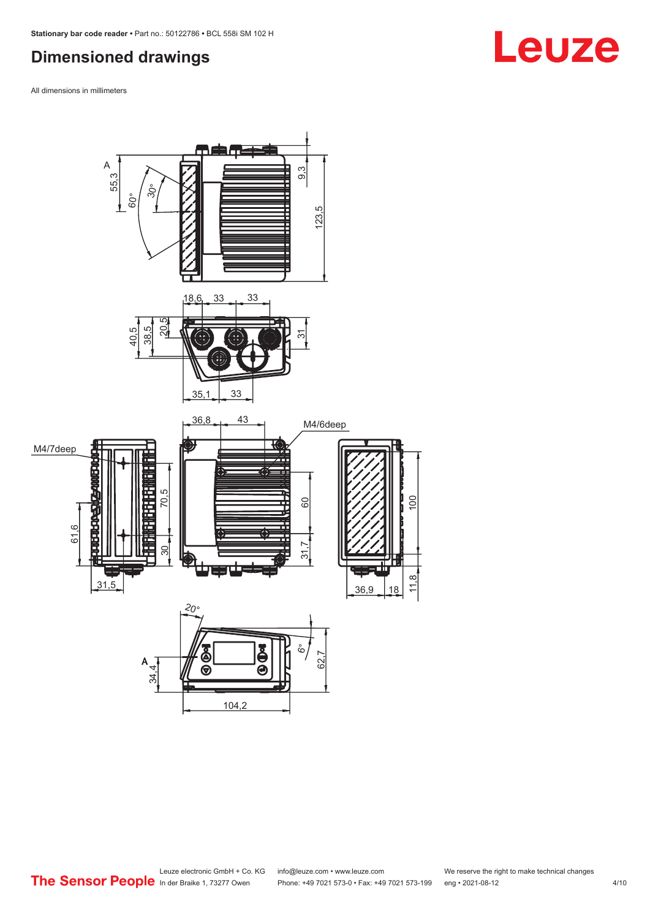## <span id="page-3-0"></span>**Dimensioned drawings**

All dimensions in millimeters



#### Leuze electronic GmbH + Co. KG info@leuze.com • www.leuze.com We reserve the right to make technical changes<br>
The Sensor People in der Braike 1, 73277 Owen Phone: +49 7021 573-0 • Fax: +49 7021 573-199 eng • 2021-08-12 Phone: +49 7021 573-0 • Fax: +49 7021 573-199 eng • 2021-08-12 4/10

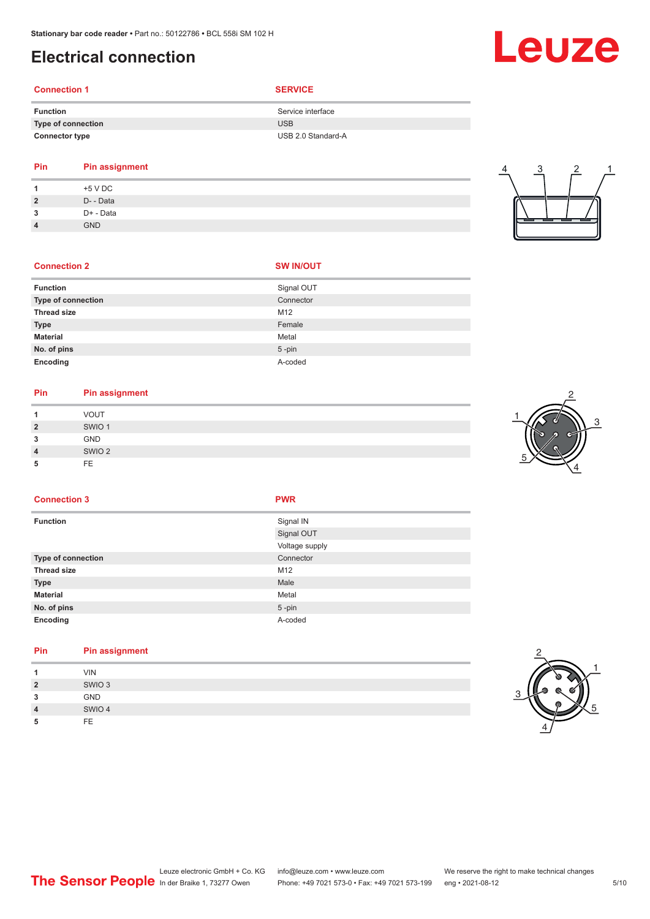### <span id="page-4-0"></span>**Electrical connection**

## **Connection 1 SERVICE**

| <b>Function</b>       | Service interface  |
|-----------------------|--------------------|
| Type of connection    | <b>USB</b>         |
| <b>Connector type</b> | USB 2.0 Standard-A |

#### **Pin Pin assignment 1** +5 V DC

| $\overline{2}$ | D- - Data  |
|----------------|------------|
| 3              | D+ - Data  |
| $\overline{4}$ | <b>GND</b> |

| 4 | 3 | 2 |  |
|---|---|---|--|
|   |   |   |  |

#### **Connection 2 SW IN/OUT**

| <b>Function</b>    | Signal OUT |
|--------------------|------------|
| Type of connection | Connector  |
| <b>Thread size</b> | M12        |
| <b>Type</b>        | Female     |
| <b>Material</b>    | Metal      |
| No. of pins        | $5$ -pin   |
| Encoding           | A-coded    |

## **Pin Pin assignment**

| и              | <b>VOUT</b>       |  |
|----------------|-------------------|--|
| $\overline{2}$ | SWIO <sub>1</sub> |  |
| 3              | GND               |  |
| $\overline{4}$ | SWIO <sub>2</sub> |  |
| 5              | FE                |  |



#### **Connection 3 PWR**

| <b>Function</b>    | Signal IN      |
|--------------------|----------------|
|                    | Signal OUT     |
|                    | Voltage supply |
| Type of connection | Connector      |
| <b>Thread size</b> | M12            |
| Type               | Male           |
| <b>Material</b>    | Metal          |
| No. of pins        | $5 - pin$      |
| Encoding           | A-coded        |
|                    |                |

#### **Pin Pin assignment**

| и              | <b>VIN</b>        |
|----------------|-------------------|
| $\overline{2}$ | SWIO <sub>3</sub> |
| 3              | GND               |
| $\overline{4}$ | SWIO 4            |
| 5              | FE.               |



## Leuze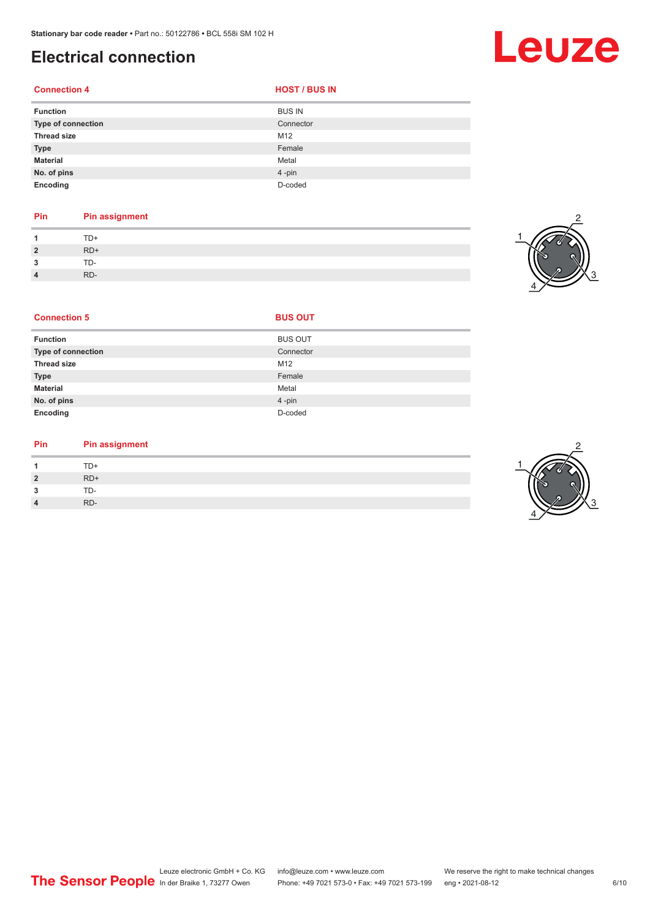## **Electrical connection**

#### **Connection 4**

| <b>HOST / BUS IN</b> |  |  |
|----------------------|--|--|
|                      |  |  |

| <b>Function</b>           | <b>BUS IN</b> |
|---------------------------|---------------|
| <b>Type of connection</b> | Connector     |
| <b>Thread size</b>        | M12           |
| <b>Type</b>               | Female        |
| <b>Material</b>           | Metal         |
| No. of pins               | 4-pin         |
| Encoding                  | D-coded       |

#### **Pin Pin assignment**

|                        | $TD+$ |
|------------------------|-------|
| $\overline{2}$         | $RD+$ |
| 3                      | TD-   |
| $\boldsymbol{\Lambda}$ | RD-   |



Leuze

| <b>Connection 5</b>       | <b>BUS OUT</b> |  |
|---------------------------|----------------|--|
| <b>Function</b>           | <b>BUS OUT</b> |  |
| <b>Type of connection</b> | Connector      |  |
| <b>Thread size</b>        | M12            |  |
| <b>Type</b>               | Female         |  |
| <b>Material</b>           | Metal          |  |
| No. of pins               | 4-pin          |  |
| Encoding                  | D-coded        |  |

#### **Pin Pin assignment**

|                | TD+   |
|----------------|-------|
| $\overline{2}$ | $RD+$ |
| ຳ<br>- 3       | TD-   |
| 4              | RD-   |

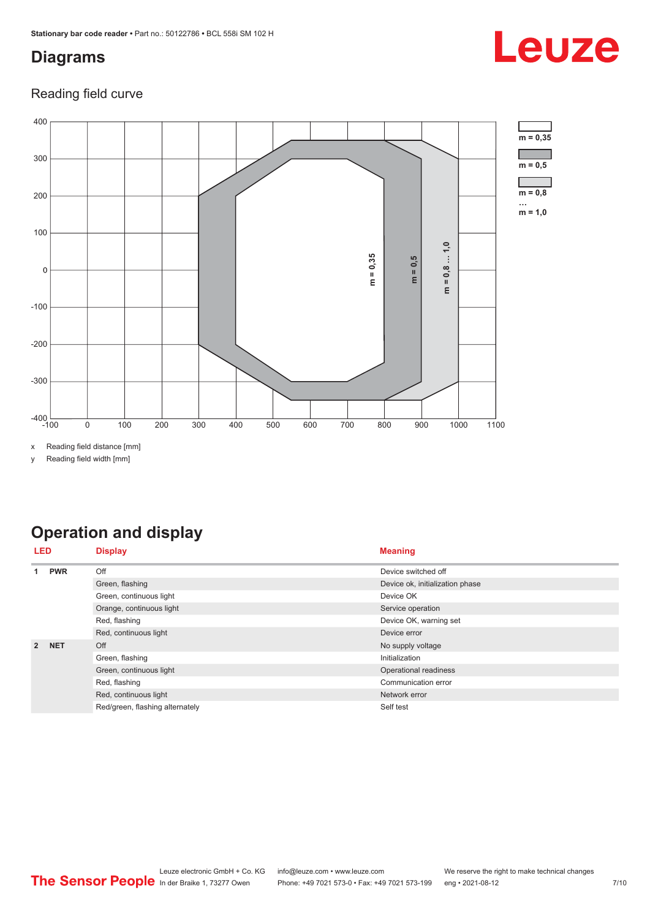## <span id="page-6-0"></span>**Diagrams**

## Leuze

#### Reading field curve



y Reading field width [mm]

## **Operation and display**

|                | LED        | <b>Display</b>                  | <b>Meaning</b>                  |
|----------------|------------|---------------------------------|---------------------------------|
|                | <b>PWR</b> | Off                             | Device switched off             |
|                |            | Green, flashing                 | Device ok, initialization phase |
|                |            | Green, continuous light         | Device OK                       |
|                |            | Orange, continuous light        | Service operation               |
|                |            | Red, flashing                   | Device OK, warning set          |
|                |            | Red, continuous light           | Device error                    |
| $\overline{2}$ | <b>NET</b> | Off                             | No supply voltage               |
|                |            | Green, flashing                 | Initialization                  |
|                |            | Green, continuous light         | Operational readiness           |
|                |            | Red, flashing                   | Communication error             |
|                |            | Red, continuous light           | Network error                   |
|                |            | Red/green, flashing alternately | Self test                       |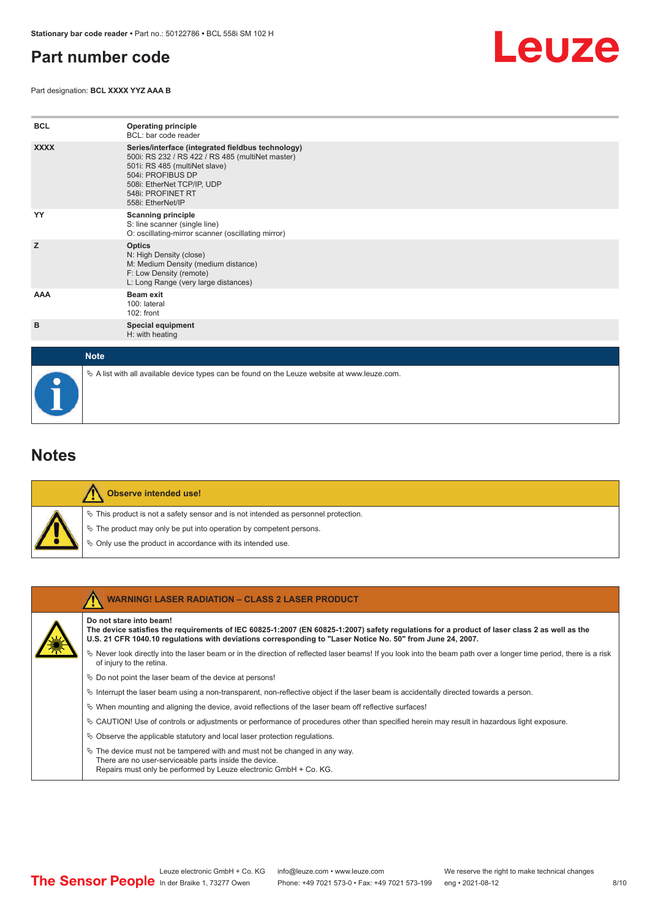### <span id="page-7-0"></span>**Part number code**

Part designation: **BCL XXXX YYZ AAA B**



| <b>BCL</b>  | <b>Operating principle</b><br>BCL: bar code reader                                                                                                                                                                                  |
|-------------|-------------------------------------------------------------------------------------------------------------------------------------------------------------------------------------------------------------------------------------|
| <b>XXXX</b> | Series/interface (integrated fieldbus technology)<br>500i: RS 232 / RS 422 / RS 485 (multiNet master)<br>501i: RS 485 (multiNet slave)<br>504i: PROFIBUS DP<br>508i: EtherNet TCP/IP, UDP<br>548i: PROFINET RT<br>558i: EtherNet/IP |
| YY          | <b>Scanning principle</b><br>S: line scanner (single line)<br>O: oscillating-mirror scanner (oscillating mirror)                                                                                                                    |
| z           | <b>Optics</b><br>N: High Density (close)<br>M: Medium Density (medium distance)<br>F: Low Density (remote)<br>L: Long Range (very large distances)                                                                                  |
| <b>AAA</b>  | <b>Beam exit</b><br>100: lateral<br>102: front                                                                                                                                                                                      |
| в           | <b>Special equipment</b><br>H: with heating                                                                                                                                                                                         |
| <b>Note</b> |                                                                                                                                                                                                                                     |
|             | $\&$ A list with all available device types can be found on the Leuze website at www.leuze.com.                                                                                                                                     |

#### **Notes**

|  | Observe intended use!                                                                 |
|--|---------------------------------------------------------------------------------------|
|  | $\%$ This product is not a safety sensor and is not intended as personnel protection. |
|  | § The product may only be put into operation by competent persons.                    |
|  | $\phi$ Only use the product in accordance with its intended use.                      |

| <b>WARNING! LASER RADIATION - CLASS 2 LASER PRODUCT</b>                                                                                                                                                                                                                               |
|---------------------------------------------------------------------------------------------------------------------------------------------------------------------------------------------------------------------------------------------------------------------------------------|
| Do not stare into beam!<br>The device satisfies the requirements of IEC 60825-1:2007 (EN 60825-1:2007) safety requlations for a product of laser class 2 as well as the<br>U.S. 21 CFR 1040.10 regulations with deviations corresponding to "Laser Notice No. 50" from June 24, 2007. |
| Never look directly into the laser beam or in the direction of reflected laser beams! If you look into the beam path over a longer time period, there is a risk<br>of injury to the retina.                                                                                           |
| $\%$ Do not point the laser beam of the device at persons!                                                                                                                                                                                                                            |
| Interrupt the laser beam using a non-transparent, non-reflective object if the laser beam is accidentally directed towards a person.                                                                                                                                                  |
| $\%$ When mounting and aligning the device, avoid reflections of the laser beam off reflective surfaces!                                                                                                                                                                              |
| $\&$ CAUTION! Use of controls or adjustments or performance of procedures other than specified herein may result in hazardous light exposure.                                                                                                                                         |
| $\&$ Observe the applicable statutory and local laser protection requisitions.                                                                                                                                                                                                        |
| $\ddot{\varphi}$ The device must not be tampered with and must not be changed in any way.<br>There are no user-serviceable parts inside the device.<br>Repairs must only be performed by Leuze electronic GmbH + Co. KG.                                                              |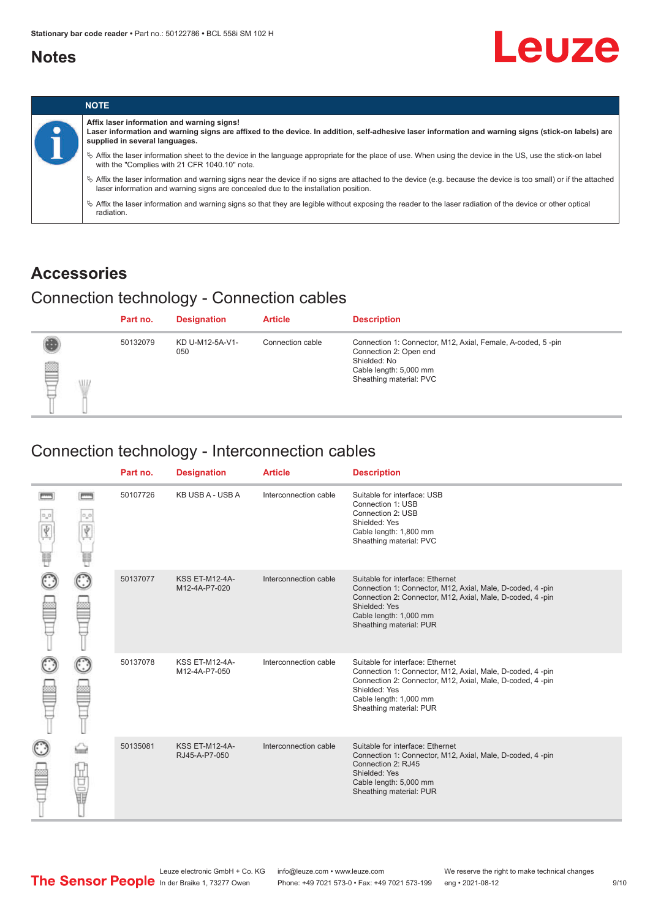#### <span id="page-8-0"></span>**Notes**



|           |                                                                                                                                                                                                                                                            | <b>NOTE</b>                                                                                                                                                                 |
|-----------|------------------------------------------------------------------------------------------------------------------------------------------------------------------------------------------------------------------------------------------------------------|-----------------------------------------------------------------------------------------------------------------------------------------------------------------------------|
| $\bullet$ | Affix laser information and warning signs!<br>Laser information and warning signs are affixed to the device. In addition, self-adhesive laser information and warning signs (stick-on labels) are<br>supplied in several languages.                        |                                                                                                                                                                             |
|           | Affix the laser information sheet to the device in the language appropriate for the place of use. When using the device in the US, use the stick-on label<br>with the "Complies with 21 CFR 1040.10" note.                                                 |                                                                                                                                                                             |
|           | $\%$ Affix the laser information and warning signs near the device if no signs are attached to the device (e.g. because the device is too small) or if the attached<br>laser information and warning signs are concealed due to the installation position. |                                                                                                                                                                             |
|           |                                                                                                                                                                                                                                                            | $\%$ Affix the laser information and warning signs so that they are legible without exposing the reader to the laser radiation of the device or other optical<br>radiation. |

### **Accessories**

## Connection technology - Connection cables

|        | Part no. | <b>Designation</b>     | <b>Article</b>   | <b>Description</b>                                                                                                                                         |
|--------|----------|------------------------|------------------|------------------------------------------------------------------------------------------------------------------------------------------------------------|
| ₿<br>W | 50132079 | KD U-M12-5A-V1-<br>050 | Connection cable | Connection 1: Connector, M12, Axial, Female, A-coded, 5-pin<br>Connection 2: Open end<br>Shielded: No<br>Cable length: 5,000 mm<br>Sheathing material: PVC |

## Connection technology - Interconnection cables

|   |              | Part no. | <b>Designation</b>                     | <b>Article</b>        | <b>Description</b>                                                                                                                                                                                                               |
|---|--------------|----------|----------------------------------------|-----------------------|----------------------------------------------------------------------------------------------------------------------------------------------------------------------------------------------------------------------------------|
| Ý | <b>books</b> | 50107726 | KB USB A - USB A                       | Interconnection cable | Suitable for interface: USB<br>Connection 1: USB<br>Connection 2: USB<br>Shielded: Yes<br>Cable length: 1,800 mm<br>Sheathing material: PVC                                                                                      |
|   |              | 50137077 | <b>KSS ET-M12-4A-</b><br>M12-4A-P7-020 | Interconnection cable | Suitable for interface: Ethernet<br>Connection 1: Connector, M12, Axial, Male, D-coded, 4-pin<br>Connection 2: Connector, M12, Axial, Male, D-coded, 4-pin<br>Shielded: Yes<br>Cable length: 1,000 mm<br>Sheathing material: PUR |
|   |              | 50137078 | KSS ET-M12-4A-<br>M12-4A-P7-050        | Interconnection cable | Suitable for interface: Ethernet<br>Connection 1: Connector, M12, Axial, Male, D-coded, 4-pin<br>Connection 2: Connector, M12, Axial, Male, D-coded, 4-pin<br>Shielded: Yes<br>Cable length: 1,000 mm<br>Sheathing material: PUR |
|   | 甘量           | 50135081 | <b>KSS ET-M12-4A-</b><br>RJ45-A-P7-050 | Interconnection cable | Suitable for interface: Ethernet<br>Connection 1: Connector, M12, Axial, Male, D-coded, 4-pin<br>Connection 2: RJ45<br>Shielded: Yes<br>Cable length: 5,000 mm<br>Sheathing material: PUR                                        |